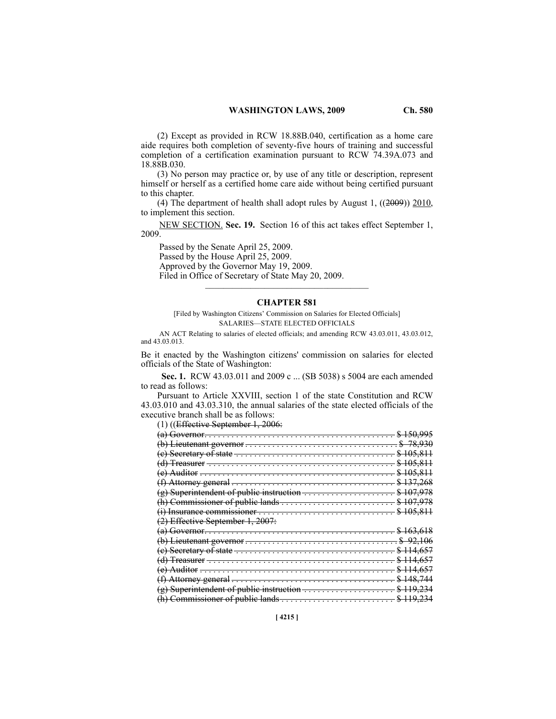(2) Except as provided in RCW 18.88B.040, certification as a home care aide requires both completion of seventy-five hours of training and successful completion of a certification examination pursuant to RCW 74.39A.073 and 18.88B.030.

(3) No person may practice or, by use of any title or description, represent himself or herself as a certified home care aide without being certified pursuant to this chapter.

(4) The department of health shall adopt rules by August 1, ((2009)) 2010, to implement this section.

NEW SECTION. **Sec. 19.** Section 16 of this act takes effect September 1, 2009.

Passed by the Senate April 25, 2009. Passed by the House April 25, 2009. Approved by the Governor May 19, 2009. Filed in Office of Secretary of State May 20, 2009.  $\mathcal{L}$  and  $\mathcal{L}$  and  $\mathcal{L}$  and  $\mathcal{L}$  and  $\mathcal{L}$ 

## **CHAPTER 581**

[Filed by Washington Citizens' Commission on Salaries for Elected Officials] SALARIES-STATE ELECTED OFFICIALS

<sup>581</sup> AN ACT Relating to salaries of elected officials; and amending RCW 43.03.011, 43.03.012, and 43.03.013.

Be it enacted by the Washington citizens' commission on salaries for elected officials of the State of Washington:

 **Sec. 1.** RCW 43.03.011 and 2009 c ... (SB 5038) s 5004 are each amended to read as follows:

Pursuant to Article XXVIII, section 1 of the state Constitution and RCW 43.03.010 and 43.03.310, the annual salaries of the state elected officials of the executive branch shall be as follows:

(1) ((Effective September 1, 2006:

| ----<br>$\frac{1}{2}$ . $\frac{1}{2}$ . $\frac{1}{2}$ . $\frac{1}{2}$ . $\frac{1}{2}$ . $\frac{1}{2}$ . $\frac{1}{2}$ |                    |
|-----------------------------------------------------------------------------------------------------------------------|--------------------|
|                                                                                                                       |                    |
|                                                                                                                       |                    |
| Secretary of state                                                                                                    |                    |
| Treasurer                                                                                                             |                    |
| $\Lambda$ uditor                                                                                                      | 105 011<br>102.011 |
| Attorney general -                                                                                                    |                    |
| Superintendent of public instruction                                                                                  | 107                |
|                                                                                                                       | 107                |
|                                                                                                                       | 105 911<br>ŦUJ     |
| Effective September 1, 2007:                                                                                          |                    |
| <del>Governor.</del>                                                                                                  |                    |
| Lieutenant governor                                                                                                   |                    |
| Secretary of state                                                                                                    |                    |
| <del>Treasurer</del> -                                                                                                | 657                |
| Auditor                                                                                                               |                    |
| Attorney general<br>£,                                                                                                | 119711             |
| Superintendent of public instruction                                                                                  | 24<br>110          |
|                                                                                                                       | 110                |
|                                                                                                                       |                    |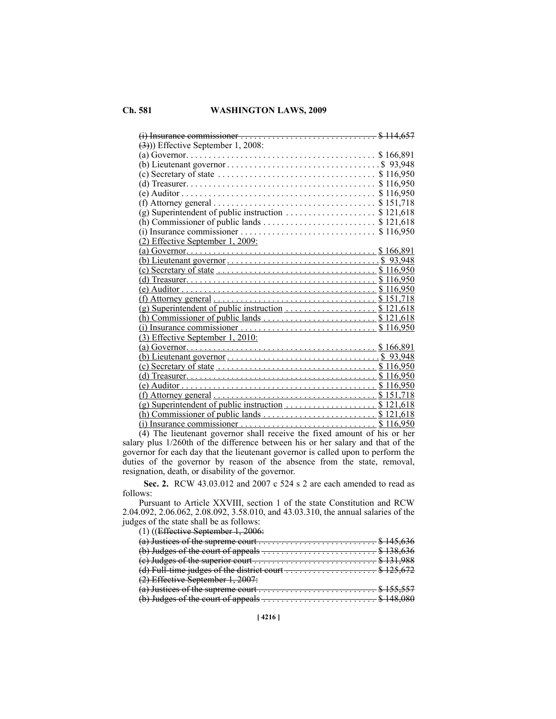| $\left(\frac{3}{2}\right)$ ) Effective September 1, 2008:                                                        |           |
|------------------------------------------------------------------------------------------------------------------|-----------|
|                                                                                                                  | \$166,891 |
|                                                                                                                  |           |
| (c) Secretary of state $\dots \dots \dots \dots \dots \dots \dots \dots \dots \dots \dots \$ 116,950             |           |
|                                                                                                                  |           |
|                                                                                                                  |           |
|                                                                                                                  |           |
| (g) Superintendent of public instruction $\dots \dots \dots \dots \dots$ \$ 121,618                              |           |
|                                                                                                                  |           |
|                                                                                                                  |           |
| (2) Effective September 1, 2009:                                                                                 |           |
|                                                                                                                  |           |
|                                                                                                                  |           |
|                                                                                                                  |           |
|                                                                                                                  |           |
|                                                                                                                  |           |
| (f) Attorney general $\ldots \ldots \ldots \ldots \ldots \ldots \ldots \ldots \ldots \ldots \ldots \$ \$ 151,718 |           |
|                                                                                                                  |           |
|                                                                                                                  |           |
|                                                                                                                  |           |
| (3) Effective September 1, 2010:                                                                                 |           |
|                                                                                                                  |           |
|                                                                                                                  |           |
|                                                                                                                  |           |
|                                                                                                                  |           |
|                                                                                                                  |           |
| $(f)$ Attorney general $\ldots \ldots \ldots \ldots \ldots \ldots \ldots \ldots \ldots \ldots \quad $151,718$    |           |
|                                                                                                                  |           |
|                                                                                                                  |           |
|                                                                                                                  |           |

(4) The lieutenant governor shall receive the fixed amount of his or her salary plus 1/260th of the difference between his or her salary and that of the governor for each day that the lieutenant governor is called upon to perform the duties of the governor by reason of the absence from the state, removal, resignation, death, or disability of the governor.

 **Sec. 2.** RCW 43.03.012 and 2007 c 524 s 2 are each amended to read as follows:

Pursuant to Article XXVIII, section 1 of the state Constitution and RCW 2.04.092, 2.06.062, 2.08.092, 3.58.010, and 43.03.310, the annual salaries of the judges of the state shall be as follows:

(1) ((Effective September 1, 2006:

| (a) Justices of the supreme court $\dots \dots \dots \dots \dots \dots \dots \dots$ \$ 145,636 |  |
|------------------------------------------------------------------------------------------------|--|
|                                                                                                |  |
| (e) Judges of the superior court $\dots \dots \dots \dots \dots \dots \dots \dots$ \$ 131,988  |  |
| (d) Full-time judges of the district court $\dots \dots \dots \dots \dots \dots$ \$ 125,672    |  |
| $(2)$ Effective September 1, 2007:                                                             |  |
| (a) Justices of the supreme court $\dots \dots \dots \dots \dots \dots \dots \dots$ \$ 155,557 |  |
| (b) Judges of the court of appeals $\ldots$ \$ 148,080                                         |  |
|                                                                                                |  |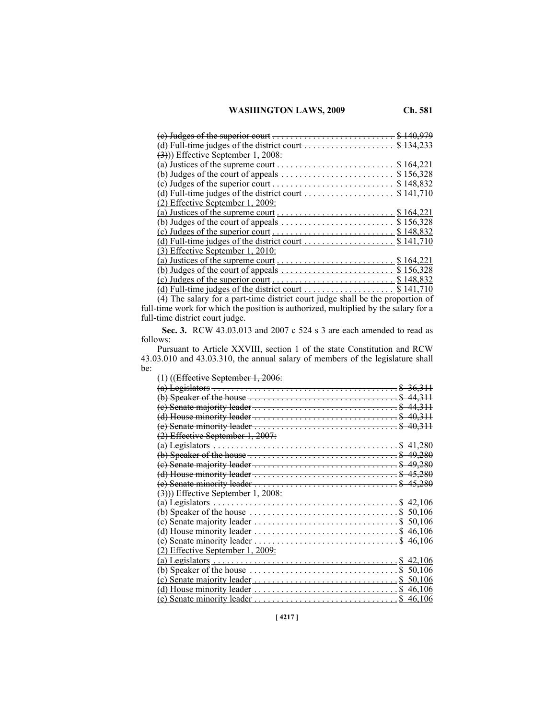| the superior court $\ldots \ldots \ldots \ldots \ldots \ldots \ldots \ldots \quad $140$   |           |
|-------------------------------------------------------------------------------------------|-----------|
| (d) Full-time judges of the district court $\dots \dots \dots \dots \dots \dots$ \$ 134   |           |
| $\left(\frac{3}{2}\right)$ ) Effective September 1, 2008:                                 |           |
|                                                                                           |           |
|                                                                                           | \$164,221 |
| (b) Judges of the court of appeals $\dots \dots \dots \dots \dots \dots \dots \dots$      | \$156,328 |
|                                                                                           | \$148,832 |
| (d) Full-time judges of the district court $\dots \dots \dots \dots \dots \dots$          | \$141,710 |
| (2) Effective September 1, 2009:                                                          |           |
| (a) Justices of the supreme court $\dots \dots \dots \dots \dots \dots \dots$ \$ 164,221  |           |
| (b) Judges of the court of appeals $\dots \dots \dots \dots \dots \dots \dots$ \$ 156,328 |           |
|                                                                                           | \$148.832 |
| (d) Full-time judges of the district court $\dots \dots \dots \dots \dots$ \$ 141,710     |           |
| $(3)$ Effective September 1, 2010:                                                        |           |
|                                                                                           |           |
| (b) Judges of the court of appeals $\dots \dots \dots \dots \dots \dots \dots$ \$ 156,328 |           |
|                                                                                           |           |
| (d) Full-time judges of the district court.                                               | \$141,710 |

(4) The salary for a part-time district court judge shall be the proportion of full-time work for which the position is authorized, multiplied by the salary for a full-time district court judge.

 **Sec. 3.** RCW 43.03.013 and 2007 c 524 s 3 are each amended to read as follows:

Pursuant to Article XXVIII, section 1 of the state Constitution and RCW 43.03.010 and 43.03.310, the annual salary of members of the legislature shall be:  $(1)$  ((Fee i, 0, 1, 1, 2006)

| (a) Legislators $\ldots \ldots \ldots \ldots \ldots \ldots \ldots \ldots \ldots \ldots \ldots \ldots \ldots \$ \$ 36,311             |
|--------------------------------------------------------------------------------------------------------------------------------------|
| (b) Speaker of the house $\ldots \ldots \ldots \ldots \ldots \ldots \ldots \ldots \ldots$ \$ 44,311                                  |
| $(e)$ Senate majority leader $\dots \dots \dots \dots \dots \dots \dots \dots \dots$ \$ 44,311                                       |
|                                                                                                                                      |
|                                                                                                                                      |
|                                                                                                                                      |
|                                                                                                                                      |
|                                                                                                                                      |
| (b) Speaker of the house $\ldots \ldots \ldots \ldots \ldots \ldots \ldots \ldots \ldots$ \$ 49,280                                  |
| $(e)$ Senate majority leader $\dots \dots \dots \dots \dots \dots \dots \dots \dots \dots$ \$ 49,280                                 |
| (d) House minority leader $\dots \dots \dots \dots \dots \dots \dots \dots \dots \dots$ \$ 45,280                                    |
|                                                                                                                                      |
|                                                                                                                                      |
|                                                                                                                                      |
|                                                                                                                                      |
|                                                                                                                                      |
|                                                                                                                                      |
| \$46.106                                                                                                                             |
|                                                                                                                                      |
| (a) Legislators $\ldots \ldots \ldots \ldots \ldots \ldots \ldots \ldots \ldots \ldots \ldots \ldots \quad $42,106$                  |
| (b) Speaker of the house $\ldots$ , $\ldots$ , $\ldots$ , $\ldots$ , $\ldots$ , $\ldots$ , $\ldots$ , $\ldots$ , $\ldots$ , $\ldots$ |
| (c) Senate majority leader $\ldots \ldots \ldots \ldots \ldots \ldots \ldots \ldots \ldots$ \$ 50,106                                |
|                                                                                                                                      |
|                                                                                                                                      |
| (e) Senate minority leader $\ldots \ldots \ldots \ldots \ldots \ldots \ldots \ldots \ldots$ \$ 40,311                                |